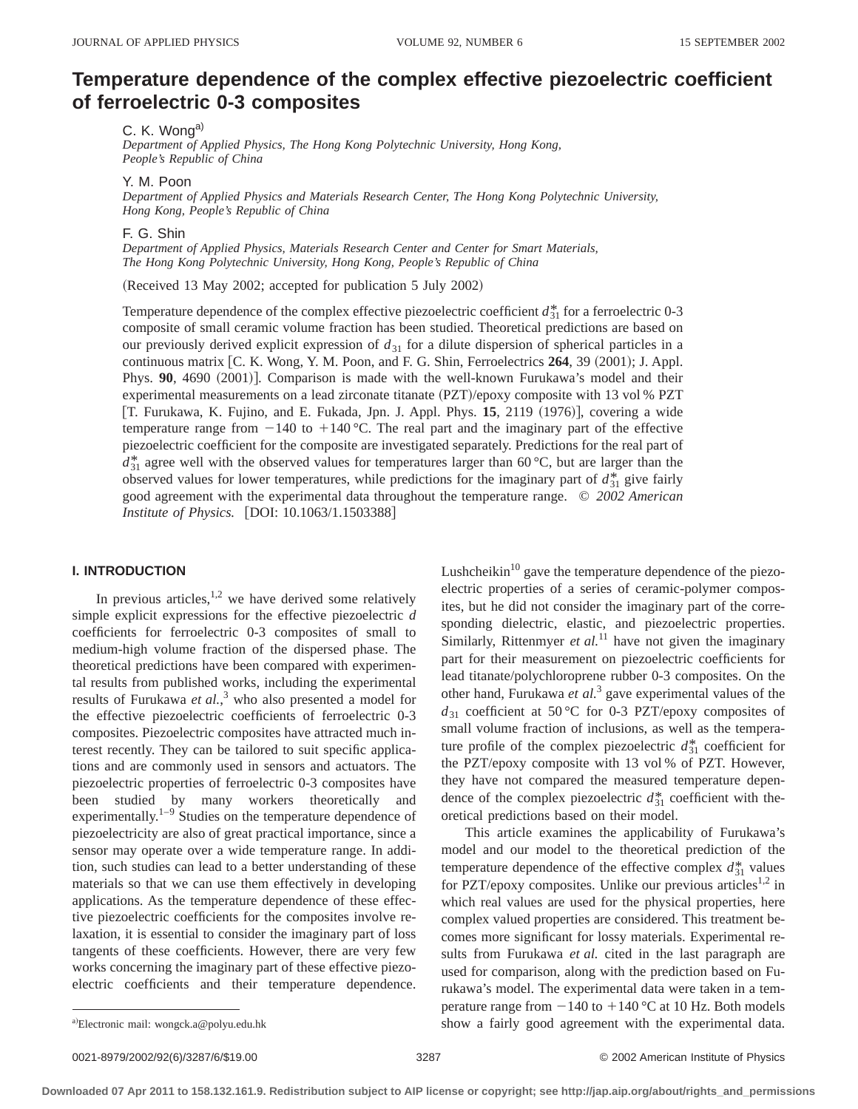# **Temperature dependence of the complex effective piezoelectric coefficient of ferroelectric 0-3 composites**

C. K. Wong<sup>a)</sup>

*Department of Applied Physics, The Hong Kong Polytechnic University, Hong Kong, People's Republic of China*

Y. M. Poon

*Department of Applied Physics and Materials Research Center, The Hong Kong Polytechnic University, Hong Kong, People's Republic of China*

F. G. Shin

*Department of Applied Physics, Materials Research Center and Center for Smart Materials, The Hong Kong Polytechnic University, Hong Kong, People's Republic of China*

(Received 13 May 2002; accepted for publication 5 July 2002)

Temperature dependence of the complex effective piezoelectric coefficient  $d_{31}^*$  for a ferroelectric 0-3 composite of small ceramic volume fraction has been studied. Theoretical predictions are based on our previously derived explicit expression of  $d_{31}$  for a dilute dispersion of spherical particles in a continuous matrix [C. K. Wong, Y. M. Poon, and F. G. Shin, Ferroelectrics **264**, 39 (2001); J. Appl. Phys. 90, 4690 (2001)]. Comparison is made with the well-known Furukawa's model and their experimental measurements on a lead zirconate titanate  $(PZT)/epoxy$  composite with 13 vol % PZT [T. Furukawa, K. Fujino, and E. Fukada, Jpn. J. Appl. Phys. 15, 2119 (1976)], covering a wide temperature range from  $-140$  to  $+140$  °C. The real part and the imaginary part of the effective piezoelectric coefficient for the composite are investigated separately. Predictions for the real part of  $d_{31}^*$  agree well with the observed values for temperatures larger than 60 °C, but are larger than the observed values for lower temperatures, while predictions for the imaginary part of  $d_{31}^*$  give fairly good agreement with the experimental data throughout the temperature range. © *2002 American Institute of Physics.* [DOI: 10.1063/1.1503388]

#### **I. INTRODUCTION**

In previous articles, $1,2$  we have derived some relatively simple explicit expressions for the effective piezoelectric *d* coefficients for ferroelectric 0-3 composites of small to medium-high volume fraction of the dispersed phase. The theoretical predictions have been compared with experimental results from published works, including the experimental results of Furukawa *et al.*, <sup>3</sup> who also presented a model for the effective piezoelectric coefficients of ferroelectric 0-3 composites. Piezoelectric composites have attracted much interest recently. They can be tailored to suit specific applications and are commonly used in sensors and actuators. The piezoelectric properties of ferroelectric 0-3 composites have been studied by many workers theoretically and experimentally. $1-9$  Studies on the temperature dependence of piezoelectricity are also of great practical importance, since a sensor may operate over a wide temperature range. In addition, such studies can lead to a better understanding of these materials so that we can use them effectively in developing applications. As the temperature dependence of these effective piezoelectric coefficients for the composites involve relaxation, it is essential to consider the imaginary part of loss tangents of these coefficients. However, there are very few works concerning the imaginary part of these effective piezoelectric coefficients and their temperature dependence. Lushcheikin $10$  gave the temperature dependence of the piezoelectric properties of a series of ceramic-polymer composites, but he did not consider the imaginary part of the corresponding dielectric, elastic, and piezoelectric properties. Similarly, Rittenmyer *et al.*<sup>11</sup> have not given the imaginary part for their measurement on piezoelectric coefficients for lead titanate/polychloroprene rubber 0-3 composites. On the other hand, Furukawa *et al.*<sup>3</sup> gave experimental values of the  $d_{31}$  coefficient at 50 °C for 0-3 PZT/epoxy composites of small volume fraction of inclusions, as well as the temperature profile of the complex piezoelectric  $d_{31}^*$  coefficient for the PZT/epoxy composite with 13 vol % of PZT. However, they have not compared the measured temperature dependence of the complex piezoelectric  $d_{31}^*$  coefficient with theoretical predictions based on their model.

This article examines the applicability of Furukawa's model and our model to the theoretical prediction of the temperature dependence of the effective complex  $d_{31}^*$  values for PZT/epoxy composites. Unlike our previous articles<sup>1,2</sup> in which real values are used for the physical properties, here complex valued properties are considered. This treatment becomes more significant for lossy materials. Experimental results from Furukawa *et al.* cited in the last paragraph are used for comparison, along with the prediction based on Furukawa's model. The experimental data were taken in a temperature range from  $-140$  to  $+140$  °C at 10 Hz. Both models show a fairly good agreement with the experimental data.

a)Electronic mail: wongck.a@polyu.edu.hk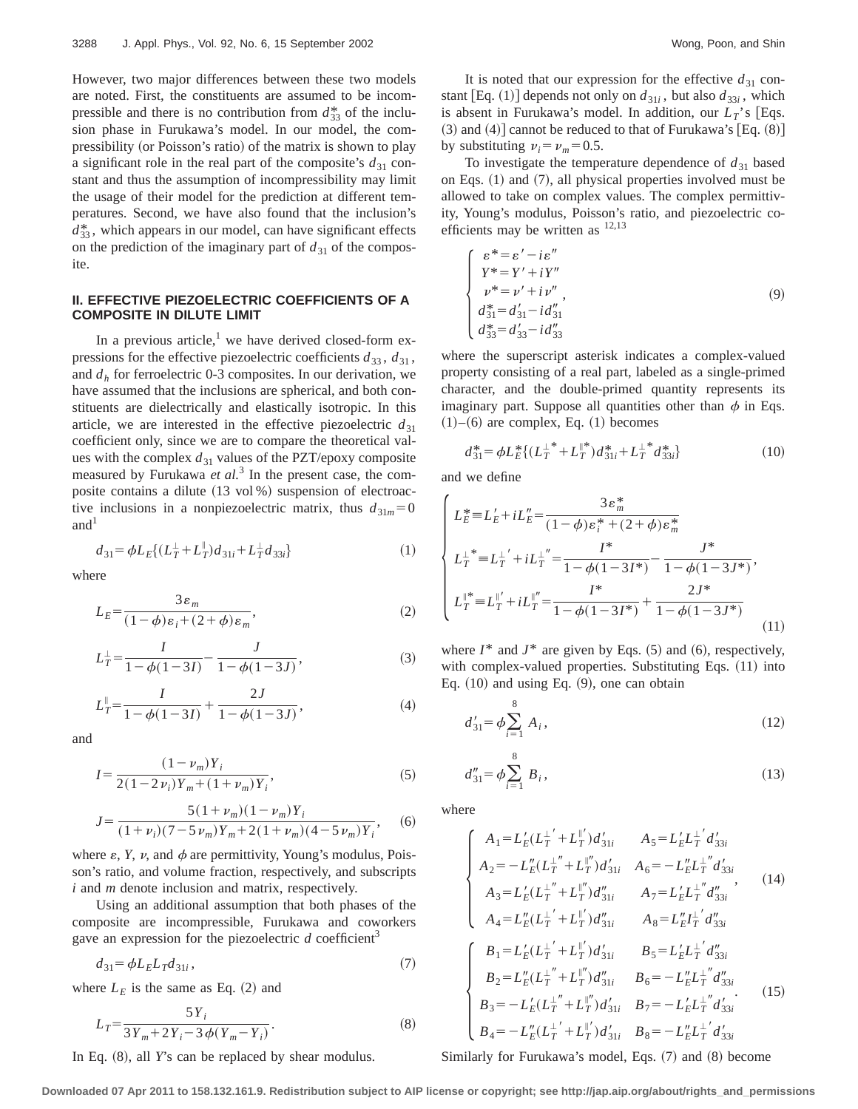However, two major differences between these two models are noted. First, the constituents are assumed to be incompressible and there is no contribution from  $d_{33}^*$  of the inclusion phase in Furukawa's model. In our model, the compressibility (or Poisson's ratio) of the matrix is shown to play a significant role in the real part of the composite's  $d_{31}$  constant and thus the assumption of incompressibility may limit the usage of their model for the prediction at different temperatures. Second, we have also found that the inclusion's  $d_{33}^*$ , which appears in our model, can have significant effects on the prediction of the imaginary part of  $d_{31}$  of the composite.

# **II. EFFECTIVE PIEZOELECTRIC COEFFICIENTS OF A COMPOSITE IN DILUTE LIMIT**

In a previous article, $<sup>1</sup>$  we have derived closed-form ex-</sup> pressions for the effective piezoelectric coefficients  $d_{33}$ ,  $d_{31}$ , and  $d_h$  for ferroelectric 0-3 composites. In our derivation, we have assumed that the inclusions are spherical, and both constituents are dielectrically and elastically isotropic. In this article, we are interested in the effective piezoelectric  $d_{31}$ coefficient only, since we are to compare the theoretical values with the complex  $d_{31}$  values of the PZT/epoxy composite measured by Furukawa *et al.*<sup>3</sup> In the present case, the composite contains a dilute  $(13 \text{ vol } % )$  suspension of electroactive inclusions in a nonpiezoelectric matrix, thus  $d_{31m} = 0$  $and<sup>1</sup>$ 

$$
d_{31} = \phi L_E \{ (L_T^{\perp} + L_T^{\parallel}) d_{31i} + L_T^{\perp} d_{33i} \}
$$
 (1)

where

$$
L_E = \frac{3\varepsilon_m}{(1-\phi)\varepsilon_i + (2+\phi)\varepsilon_m},\tag{2}
$$

$$
L_T^{\perp} = \frac{I}{1 - \phi(1 - 3I)} - \frac{J}{1 - \phi(1 - 3J)},
$$
\n(3)

$$
L_T^{\parallel} = \frac{I}{1 - \phi(1 - 3I)} + \frac{2J}{1 - \phi(1 - 3J)},
$$
\n(4)

and

$$
I = \frac{(1 - \nu_m)Y_i}{2(1 - 2\nu_i)Y_m + (1 + \nu_m)Y_i},\tag{5}
$$

$$
J = \frac{5(1+\nu_m)(1-\nu_m)Y_i}{(1+\nu_i)(7-5\nu_m)Y_m+2(1+\nu_m)(4-5\nu_m)Y_i},
$$
 (6)

where  $\varepsilon$ , *Y*, *v*, and  $\phi$  are permittivity, Young's modulus, Poisson's ratio, and volume fraction, respectively, and subscripts *i* and *m* denote inclusion and matrix, respectively.

Using an additional assumption that both phases of the composite are incompressible, Furukawa and coworkers gave an expression for the piezoelectric  $d$  coefficient<sup>3</sup>

$$
d_{31} = \phi L_E L_T d_{31i},\tag{7}
$$

where  $L<sub>E</sub>$  is the same as Eq. (2) and

$$
L_T = \frac{5Y_i}{3Y_m + 2Y_i - 3\phi(Y_m - Y_i)}.
$$
\n(8)

In Eq. (8), all *Y*'s can be replaced by shear modulus.

It is noted that our expression for the effective  $d_{31}$  constant [Eq. (1)] depends not only on  $d_{31i}$ , but also  $d_{33i}$ , which is absent in Furukawa's model. In addition, our  $L_T$ 's [Eqs.  $(3)$  and  $(4)$ ] cannot be reduced to that of Furukawa's [Eq.  $(8)$ ] by substituting  $v_i = v_m = 0.5$ .

To investigate the temperature dependence of  $d_{31}$  based on Eqs.  $(1)$  and  $(7)$ , all physical properties involved must be allowed to take on complex values. The complex permittivity, Young's modulus, Poisson's ratio, and piezoelectric coefficients may be written as  $12,13$ 

$$
\begin{cases}\n\varepsilon^* = \varepsilon' - i\varepsilon'' \\
Y^* = Y' + iY'' \\
\nu^* = \nu' + i\nu'', \\
d_{31}^* = d_{31}' - i d_{31}'' \\
d_{33}^* = d_{33}' - i d_{33}''\n\end{cases}
$$
\n(9)

where the superscript asterisk indicates a complex-valued property consisting of a real part, labeled as a single-primed character, and the double-primed quantity represents its imaginary part. Suppose all quantities other than  $\phi$  in Eqs.  $(1)–(6)$  are complex, Eq.  $(1)$  becomes

$$
d_{31}^* = \phi L_E^* \{ (L_T^{\perp *} + L_T^{\parallel *} ) d_{31i}^* + L_T^{\perp *} d_{33i}^* \}
$$
 (10)

and we define

$$
\begin{cases}\nL_{E}^{*} = L_{E}^{\prime} + iL_{E}^{\prime\prime} = \frac{3\varepsilon_{m}^{*}}{(1-\phi)\varepsilon_{i}^{*} + (2+\phi)\varepsilon_{m}^{*}} \\
L_{T}^{\perp^{*}} = L_{T}^{\perp^{\prime}} + iL_{T}^{\perp^{\prime\prime}} = \frac{I^{*}}{1-\phi(1-3I^{*})} - \frac{J^{*}}{1-\phi(1-3J^{*})}, \\
L_{T}^{\parallel^{*}} = L_{T}^{\parallel^{\prime}} + iL_{T}^{\parallel^{\prime\prime}} = \frac{I^{*}}{1-\phi(1-3I^{*})} + \frac{2J^{*}}{1-\phi(1-3J^{*})}\n\end{cases}
$$
\n(11)

where  $I^*$  and  $J^*$  are given by Eqs.  $(5)$  and  $(6)$ , respectively, with complex-valued properties. Substituting Eqs.  $(11)$  into Eq.  $(10)$  and using Eq.  $(9)$ , one can obtain

$$
d'_{31} = \phi \sum_{i=1}^{8} A_i, \qquad (12)
$$

$$
d_{31}'' = \phi \sum_{i=1}^{8} B_i, \qquad (13)
$$

where

$$
\begin{cases}\nA_{1} = L'_{E}(L_{T}^{L'} + L_{T}^{W'})d'_{31i} & A_{5} = L'_{E}L_{T}^{L'}d'_{33i} \\
A_{2} = -L''_{E}(L_{T}^{L''} + L_{T}^{W'})d'_{31i} & A_{6} = -L''_{E}L_{T}^{L''}d'_{33i} \\
A_{3} = L'_{E}(L_{T}^{L''} + L_{T}^{W'})d''_{31i} & A_{7} = L'_{E}L_{T}^{L''}d''_{33i} \\
A_{4} = L''_{E}(L_{T}^{L'} + L_{T}^{W'})d''_{31i} & A_{8} = L''_{E}L_{T}^{L'}d''_{33i} \\
B_{1} = L'_{E}(L_{T}^{L'} + L_{T}^{W'})d'_{31i} & B_{5} = L'_{E}L_{T}^{L'}d''_{33i} \\
B_{2} = L''_{E}(L_{T}^{L''} + L_{T}^{W'})d''_{31i} & B_{6} = -L''_{E}L_{T}^{L''}d''_{33i} \\
B_{3} = -L'_{E}(L_{T}^{L''} + L_{T}^{W'})d'_{31i} & B_{7} = -L'_{E}L_{T}^{L''}d'_{33i} \\
B_{4} = -L''_{E}(L_{T}^{L'} + L_{T}^{W'})d'_{31i} & B_{8} = -L''_{E}L_{T}^{L'}d'_{33i}\n\end{cases} (15)
$$

Similarly for Furukawa's model, Eqs.  $(7)$  and  $(8)$  become

**Downloaded 07 Apr 2011 to 158.132.161.9. Redistribution subject to AIP license or copyright; see http://jap.aip.org/about/rights\_and\_permissions**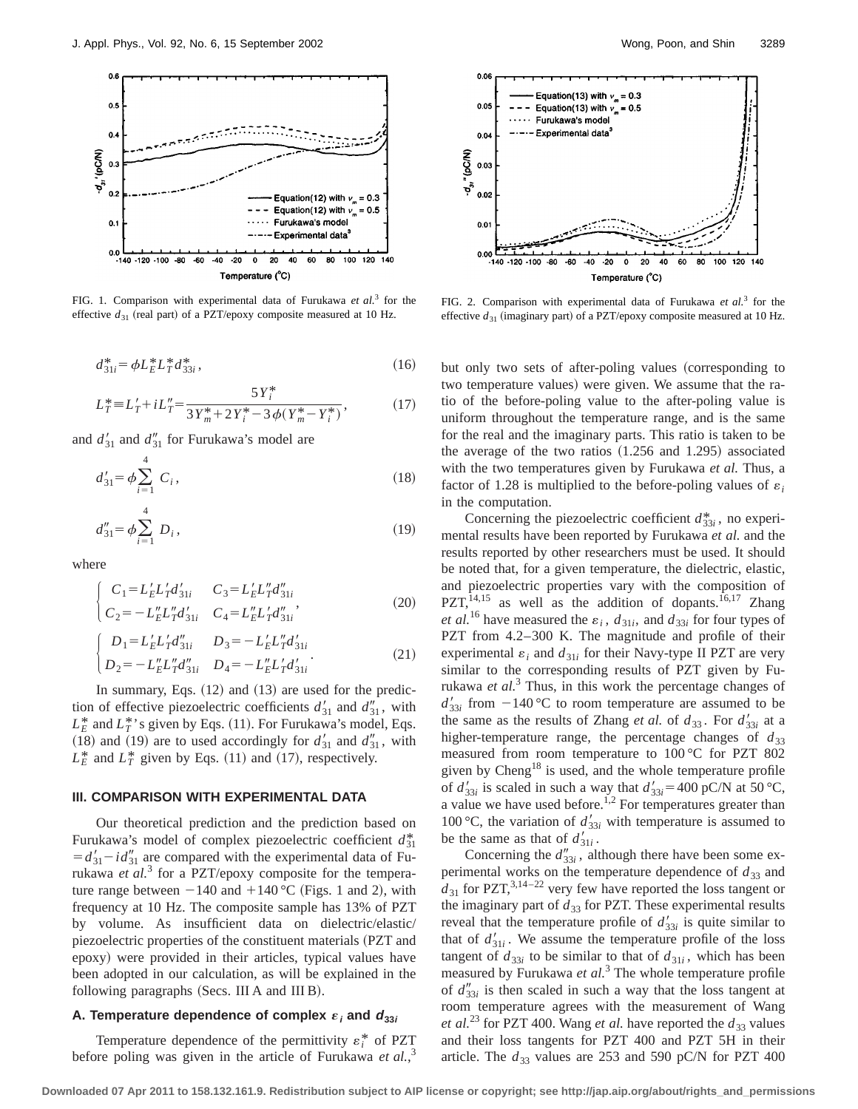

FIG. 1. Comparison with experimental data of Furukawa *et al.*<sup>3</sup> for the effective  $d_{31}$  (real part) of a PZT/epoxy composite measured at 10 Hz.

$$
d_{31i}^* = \phi L_E^* L_T^* d_{33i}^*,\tag{16}
$$

$$
L_T^* = L'_T + iL''_T = \frac{5Y_i^*}{3Y_m^* + 2Y_i^* - 3\phi(Y_m^* - Y_i^*)},\tag{17}
$$

and  $d_{31}$  and  $d_{31}$ <sup>"</sup> for Furukawa's model are

$$
d'_{31} = \phi \sum_{i=1}^{4} C_i, \qquad (18)
$$

$$
d_{31}'' = \phi \sum_{i=1}^{4} D_i, \qquad (19)
$$

where

$$
\begin{cases}\nC_1 = L'_E L'_T d'_{31i} & C_3 = L'_E L''_T d''_{31i} \\
C_2 = -L''_E L''_T d'_{31i} & C_4 = L''_E L'_T d''_{31i}\n\end{cases}
$$
\n(20)

$$
\begin{cases}\nD_1 = L'_E L'_T d'_{31i} & D_3 = -L'_E L''_T d'_{31i} \\
D_2 = -L''_E L''_T d''_{31i} & D_4 = -L''_E L'_T d'_{31i}\n\end{cases} (21)
$$

In summary, Eqs.  $(12)$  and  $(13)$  are used for the prediction of effective piezoelectric coefficients  $d'_{31}$  and  $d''_{31}$ , with  $L_F^*$  and  $L_T^*$ 's given by Eqs. (11). For Furukawa's model, Eqs.  $(18)$  and  $(19)$  are to used accordingly for  $d'_{31}$  and  $d''_{31}$ , with  $L_E^*$  and  $L_T^*$  given by Eqs. (11) and (17), respectively.

#### **III. COMPARISON WITH EXPERIMENTAL DATA**

Our theoretical prediction and the prediction based on Furukawa's model of complex piezoelectric coefficient  $d_{31}^*$  $= d'_{31} - i d''_{31}$  are compared with the experimental data of Furukawa *et al.*<sup>3</sup> for a PZT/epoxy composite for the temperature range between  $-140$  and  $+140$  °C (Figs. 1 and 2), with frequency at 10 Hz. The composite sample has 13% of PZT by volume. As insufficient data on dielectric/elastic/ piezoelectric properties of the constituent materials (PZT and epoxy) were provided in their articles, typical values have been adopted in our calculation, as will be explained in the following paragraphs (Secs. III A and III B).

#### A. Temperature dependence of complex  $\varepsilon_i$  and  $d_{33i}$

Temperature dependence of the permittivity  $\varepsilon_i^*$  of PZT before poling was given in the article of Furukawa *et al.*, 3



FIG. 2. Comparison with experimental data of Furukawa *et al.*<sup>3</sup> for the effective  $d_{31}$  (imaginary part) of a PZT/epoxy composite measured at 10 Hz.

but only two sets of after-poling values (corresponding to two temperature values) were given. We assume that the ratio of the before-poling value to the after-poling value is uniform throughout the temperature range, and is the same for the real and the imaginary parts. This ratio is taken to be the average of the two ratios  $(1.256$  and  $1.295)$  associated with the two temperatures given by Furukawa *et al.* Thus, a factor of 1.28 is multiplied to the before-poling values of  $\varepsilon_i$ in the computation.

Concerning the piezoelectric coefficient  $d_{33i}^*$ , no experimental results have been reported by Furukawa *et al.* and the results reported by other researchers must be used. It should be noted that, for a given temperature, the dielectric, elastic, and piezoelectric properties vary with the composition of PZT, $^{14,15}$  as well as the addition of dopants.<sup>16,17</sup> Zhang *et al.*<sup>16</sup> have measured the  $\varepsilon_i$ ,  $d_{31i}$ , and  $d_{33i}$  for four types of PZT from 4.2–300 K. The magnitude and profile of their experimental  $\varepsilon_i$  and  $d_{31i}$  for their Navy-type II PZT are very similar to the corresponding results of PZT given by Furukawa *et al.*<sup>3</sup> Thus, in this work the percentage changes of  $d'_{33i}$  from  $-140$  °C to room temperature are assumed to be the same as the results of Zhang *et al.* of  $d_{33}$ . For  $d'_{33i}$  at a higher-temperature range, the percentage changes of  $d_{33}$ measured from room temperature to 100 °C for PZT 802 given by Cheng<sup>18</sup> is used, and the whole temperature profile of  $d'_{33i}$  is scaled in such a way that  $d'_{33i} = 400$  pC/N at 50 °C, a value we have used before.<sup>1,2</sup> For temperatures greater than 100 °C, the variation of  $d'_{33i}$  with temperature is assumed to be the same as that of  $d'_{31i}$ .

Concerning the  $d''_{33i}$ , although there have been some experimental works on the temperature dependence of  $d_{33}$  and  $d_{31}$  for PZT,<sup>3,14–22</sup> very few have reported the loss tangent or the imaginary part of  $d_{33}$  for PZT. These experimental results reveal that the temperature profile of  $d'_{33i}$  is quite similar to that of  $d_{31i}$ . We assume the temperature profile of the loss tangent of  $d_{33i}$  to be similar to that of  $d_{31i}$ , which has been measured by Furukawa *et al.*<sup>3</sup> The whole temperature profile of  $d_{33i}''$  is then scaled in such a way that the loss tangent at room temperature agrees with the measurement of Wang *et al.*<sup>23</sup> for PZT 400. Wang *et al.* have reported the  $d_{33}$  values and their loss tangents for PZT 400 and PZT 5H in their article. The  $d_{33}$  values are 253 and 590 pC/N for PZT 400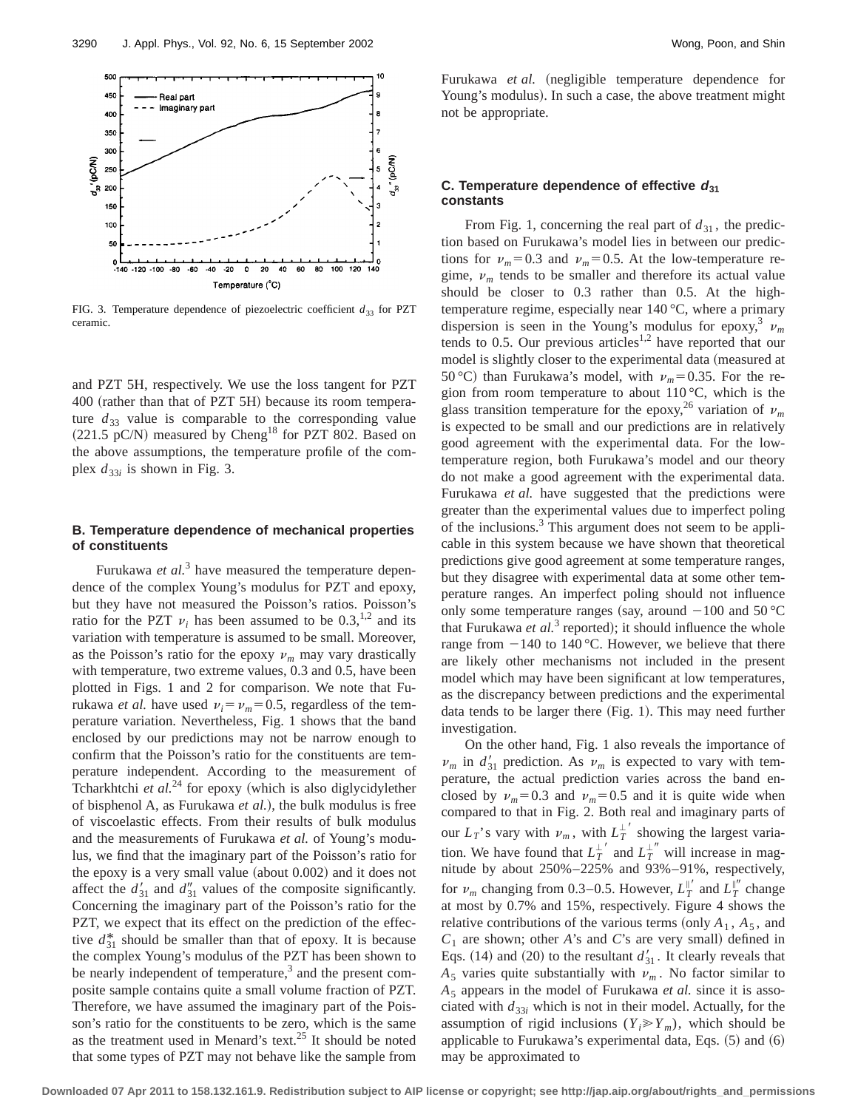

FIG. 3. Temperature dependence of piezoelectric coefficient  $d_{33}$  for PZT ceramic.

and PZT 5H, respectively. We use the loss tangent for PZT 400 (rather than that of PZT 5H) because its room temperature  $d_{33}$  value is comparable to the corresponding value  $(221.5 \text{ pC/N})$  measured by Cheng<sup>18</sup> for PZT 802. Based on the above assumptions, the temperature profile of the complex  $d_{33i}$  is shown in Fig. 3.

### **B. Temperature dependence of mechanical properties of constituents**

Furukawa *et al.*<sup>3</sup> have measured the temperature dependence of the complex Young's modulus for PZT and epoxy, but they have not measured the Poisson's ratios. Poisson's ratio for the PZT  $v_i$  has been assumed to be 0.3,<sup>1,2</sup> and its variation with temperature is assumed to be small. Moreover, as the Poisson's ratio for the epoxy  $\nu_m$  may vary drastically with temperature, two extreme values, 0.3 and 0.5, have been plotted in Figs. 1 and 2 for comparison. We note that Furukawa *et al.* have used  $v_i = v_m = 0.5$ , regardless of the temperature variation. Nevertheless, Fig. 1 shows that the band enclosed by our predictions may not be narrow enough to confirm that the Poisson's ratio for the constituents are temperature independent. According to the measurement of Tcharkhtchi et al.<sup>24</sup> for epoxy (which is also diglycidylether of bisphenol A, as Furukawa *et al.*!, the bulk modulus is free of viscoelastic effects. From their results of bulk modulus and the measurements of Furukawa *et al.* of Young's modulus, we find that the imaginary part of the Poisson's ratio for the epoxy is a very small value (about  $0.002$ ) and it does not affect the  $d'_{31}$  and  $d''_{31}$  values of the composite significantly. Concerning the imaginary part of the Poisson's ratio for the PZT, we expect that its effect on the prediction of the effective  $d_{31}^*$  should be smaller than that of epoxy. It is because the complex Young's modulus of the PZT has been shown to be nearly independent of temperature, $3$  and the present composite sample contains quite a small volume fraction of PZT. Therefore, we have assumed the imaginary part of the Poisson's ratio for the constituents to be zero, which is the same as the treatment used in Menard's text.<sup>25</sup> It should be noted that some types of PZT may not behave like the sample from

# **C. Temperature dependence of effective <sup>d</sup><sup>31</sup> constants**

From Fig. 1, concerning the real part of  $d_{31}$ , the prediction based on Furukawa's model lies in between our predictions for  $\nu_m$ =0.3 and  $\nu_m$ =0.5. At the low-temperature regime,  $\nu_m$  tends to be smaller and therefore its actual value should be closer to 0.3 rather than 0.5. At the hightemperature regime, especially near 140 °C, where a primary dispersion is seen in the Young's modulus for epoxy,<sup>3</sup>  $\nu_m$ tends to  $0.5$ . Our previous articles<sup>1,2</sup> have reported that our model is slightly closer to the experimental data (measured at 50 °C) than Furukawa's model, with  $\nu_m$ =0.35. For the region from room temperature to about 110 °C, which is the glass transition temperature for the epoxy,<sup>26</sup> variation of  $\nu_m$ is expected to be small and our predictions are in relatively good agreement with the experimental data. For the lowtemperature region, both Furukawa's model and our theory do not make a good agreement with the experimental data. Furukawa *et al.* have suggested that the predictions were greater than the experimental values due to imperfect poling of the inclusions.<sup>3</sup> This argument does not seem to be applicable in this system because we have shown that theoretical predictions give good agreement at some temperature ranges, but they disagree with experimental data at some other temperature ranges. An imperfect poling should not influence only some temperature ranges (say, around  $-100$  and  $50 \degree C$ that Furukawa *et al.*<sup>3</sup> reported); it should influence the whole range from  $-140$  to 140 °C. However, we believe that there are likely other mechanisms not included in the present model which may have been significant at low temperatures, as the discrepancy between predictions and the experimental data tends to be larger there  $(Fig. 1)$ . This may need further investigation.

On the other hand, Fig. 1 also reveals the importance of  $\nu_m$  in  $d'_{31}$  prediction. As  $\nu_m$  is expected to vary with temperature, the actual prediction varies across the band enclosed by  $v_m = 0.3$  and  $v_m = 0.5$  and it is quite wide when compared to that in Fig. 2. Both real and imaginary parts of our  $L_T$ 's vary with  $\nu_m$ , with  $L_T^{\perp'}$  showing the largest variation. We have found that  $L_T^{\perp'}$  and  $L_T^{\perp''}$  will increase in magnitude by about 250%–225% and 93%–91%, respectively, for  $\nu_m$  changing from 0.3–0.5. However,  $L_T^{\parallel'}$  and  $L_T^{\parallel''}$  change at most by 0.7% and 15%, respectively. Figure 4 shows the relative contributions of the various terms (only  $A_1$ ,  $A_5$ , and  $C_1$  are shown; other *A*'s and *C*'s are very small) defined in Eqs. (14) and (20) to the resultant  $d'_{31}$ . It clearly reveals that  $A_5$  varies quite substantially with  $\nu_m$ . No factor similar to *A*<sup>5</sup> appears in the model of Furukawa *et al.* since it is associated with  $d_{33i}$  which is not in their model. Actually, for the assumption of rigid inclusions  $(Y_i \geq Y_m)$ , which should be applicable to Furukawa's experimental data, Eqs.  $(5)$  and  $(6)$ may be approximated to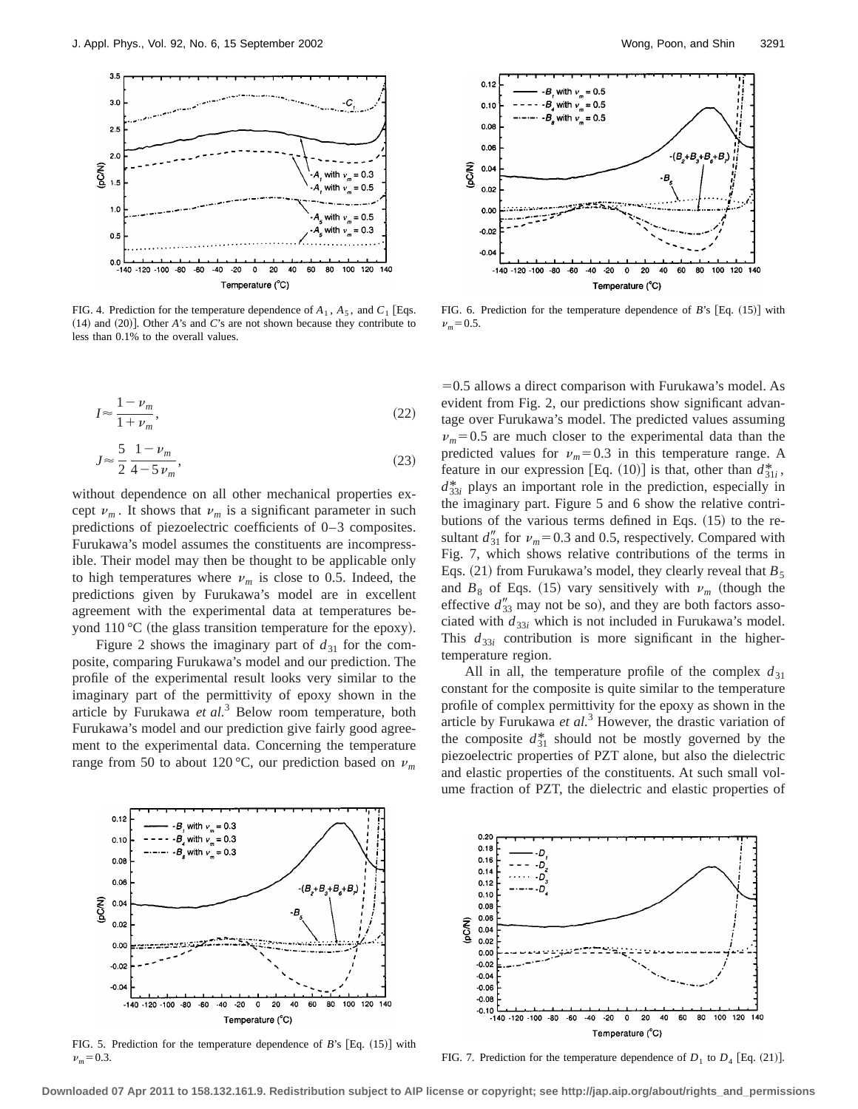

FIG. 4. Prediction for the temperature dependence of  $A_1$ ,  $A_5$ , and  $C_1$  [Eqs.  $(14)$  and  $(20)$ ]. Other *A*'s and *C*'s are not shown because they contribute to less than 0.1% to the overall values.

$$
I \approx \frac{1 - \nu_m}{1 + \nu_m},\tag{22}
$$

$$
J \approx \frac{5}{2} \frac{1 - \nu_m}{4 - 5 \nu_m},\tag{23}
$$

without dependence on all other mechanical properties except  $\nu_m$ . It shows that  $\nu_m$  is a significant parameter in such predictions of piezoelectric coefficients of 0–3 composites. Furukawa's model assumes the constituents are incompressible. Their model may then be thought to be applicable only to high temperatures where  $\nu_m$  is close to 0.5. Indeed, the predictions given by Furukawa's model are in excellent agreement with the experimental data at temperatures beyond  $110 \degree C$  (the glass transition temperature for the epoxy).

Figure 2 shows the imaginary part of  $d_{31}$  for the composite, comparing Furukawa's model and our prediction. The profile of the experimental result looks very similar to the imaginary part of the permittivity of epoxy shown in the article by Furukawa *et al.*<sup>3</sup> Below room temperature, both Furukawa's model and our prediction give fairly good agreement to the experimental data. Concerning the temperature range from 50 to about 120 °C, our prediction based on  $\nu_m$ 



FIG. 6. Prediction for the temperature dependence of  $B$ 's [Eq.  $(15)$ ] with  $\nu_m = 0.5$ .

 $=0.5$  allows a direct comparison with Furukawa's model. As evident from Fig. 2, our predictions show significant advantage over Furukawa's model. The predicted values assuming  $\nu_m$ =0.5 are much closer to the experimental data than the predicted values for  $v_m$ =0.3 in this temperature range. A feature in our expression [Eq. (10)] is that, other than  $d_{31i}^*$ ,  $d_{33i}^*$  plays an important role in the prediction, especially in the imaginary part. Figure 5 and 6 show the relative contributions of the various terms defined in Eqs.  $(15)$  to the resultant  $d_{31}^{"}$  for  $\nu_m$ =0.3 and 0.5, respectively. Compared with Fig. 7, which shows relative contributions of the terms in Eqs. (21) from Furukawa's model, they clearly reveal that  $B_5$ and  $B_8$  of Eqs. (15) vary sensitively with  $\nu_m$  (though the effective  $d''_{33}$  may not be so), and they are both factors associated with  $d_{33i}$  which is not included in Furukawa's model. This  $d_{33i}$  contribution is more significant in the highertemperature region.

All in all, the temperature profile of the complex  $d_{31}$ constant for the composite is quite similar to the temperature profile of complex permittivity for the epoxy as shown in the article by Furukawa *et al.*<sup>3</sup> However, the drastic variation of the composite  $d_{31}^*$  should not be mostly governed by the piezoelectric properties of PZT alone, but also the dielectric and elastic properties of the constituents. At such small volume fraction of PZT, the dielectric and elastic properties of



FIG. 5. Prediction for the temperature dependence of *B*'s [Eq. (15)] with  $\nu_m = 0.3$ .



FIG. 7. Prediction for the temperature dependence of  $D_1$  to  $D_4$  [Eq. (21)].

**Downloaded 07 Apr 2011 to 158.132.161.9. Redistribution subject to AIP license or copyright; see http://jap.aip.org/about/rights\_and\_permissions**